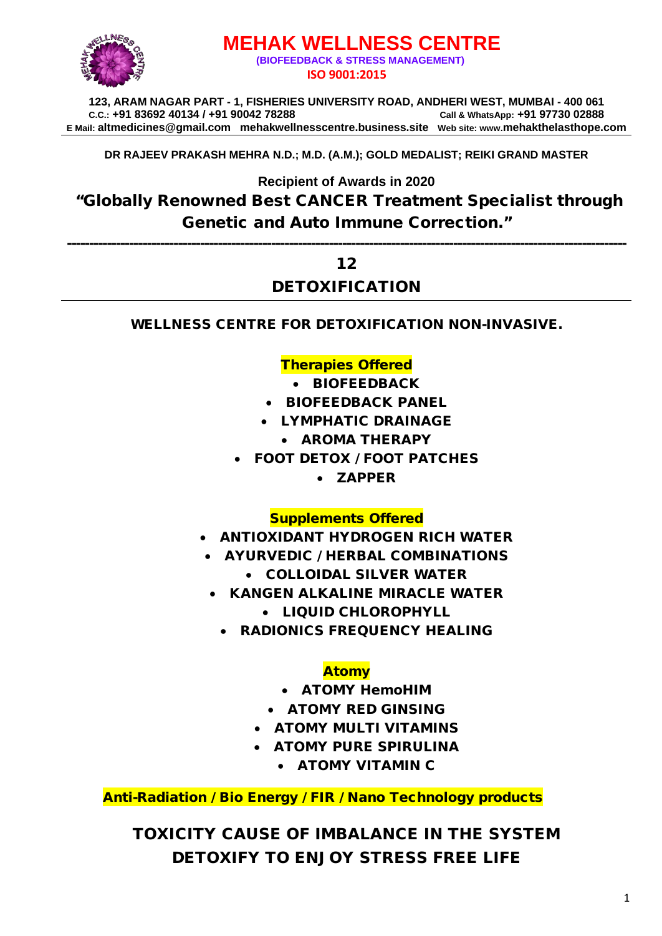

# **MEHAK WELLNESS CENTRE (BIOFEEDBACK & STRESS MANAGEMENT) ISO 9001:2015**

**123, ARAM NAGAR PART - 1, FISHERIES UNIVERSITY ROAD, ANDHERI WEST, MUMBAI - 400 061 C.C.: +91 83692 40134 / +91 90042 78288 Call & WhatsApp: +91 97730 02888 E Mail: [altmedicines@gmail.com](mailto:altmedicines@gmail.com) mehakwellnesscentre.business.site Web site: www.mehakthelasthope.com**

**DR RAJEEV PRAKASH MEHRA N.D.; M.D. (A.M.); GOLD MEDALIST; REIKI GRAND MASTER** 

**Recipient of Awards in 2020**

"Globally Renowned Best CANCER Treatment Specialist through Genetic and Auto Immune Correction."

------------------------------------------------------------------------------------------------------------------------------

#### 12

### DETOXIFICATION

WELLNESS CENTRE FOR DETOXIFICATION NON-INVASIVE.

#### Therapies Offered

- BIOFEEDBACK
- BIOFEEDBACK PANEL
- LYMPHATIC DRAINAGE
	- AROMA THERAPY
- FOOT DETOX / FOOT PATCHES
	- ZAPPER

#### Supplements Offered

- ANTIOXIDANT HYDROGEN RICH WATER
- AYURVEDIC / HERBAL COMBINATIONS
	- COLLOIDAL SILVER WATER
	- KANGEN ALKALINE MIRACLE WATER
		- LIQUID CHLOROPHYLL
		- RADIONICS FREQUENCY HEALING

#### Atomy

- ATOMY HemoHIM
- ATOMY RED GINSING
- ATOMY MULTI VITAMINS
- ATOMY PURE SPIRULINA
	- ATOMY VITAMIN C

Anti-Radiation / Bio Energy / FIR / Nano Technology products

TOXICITY CAUSE OF IMBALANCE IN THE SYSTEM DETOXIFY TO ENJOY STRESS FREE LIFE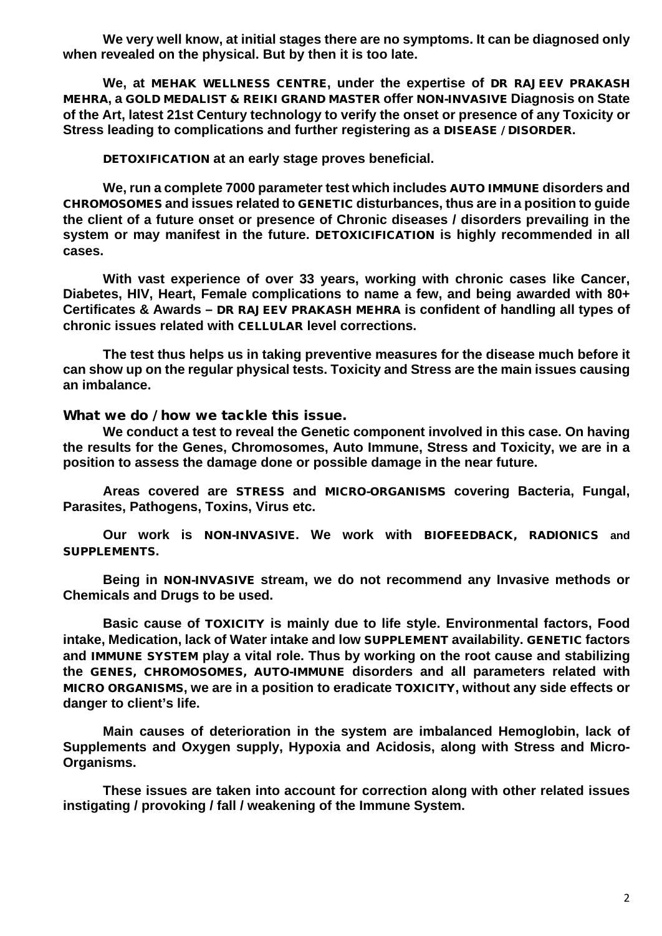**We very well know, at initial stages there are no symptoms. It can be diagnosed only when revealed on the physical. But by then it is too late.**

**We, at** MEHAK WELLNESS CENTRE**, under the expertise of** DR RAJEEV PRAKASH MEHRA**, a** GOLD MEDALIST & REIKI GRAND MASTER **offer** NON-INVASIVE **Diagnosis on State of the Art, latest 21st Century technology to verify the onset or presence of any Toxicity or Stress leading to complications and further registering as a** DISEASE / DISORDER**.** 

DETOXIFICATION **at an early stage proves beneficial.**

**We, run a complete 7000 parameter test which includes** AUTO IMMUNE **disorders and**  CHROMOSOMES **and issues related to** GENETIC **disturbances, thus are in a position to guide the client of a future onset or presence of Chronic diseases / disorders prevailing in the system or may manifest in the future.** DETOXICIFICATION **is highly recommended in all cases.** 

**With vast experience of over 33 years, working with chronic cases like Cancer, Diabetes, HIV, Heart, Female complications to name a few, and being awarded with 80+ Certificates & Awards –** DR RAJEEV PRAKASH MEHRA **is confident of handling all types of chronic issues related with** CELLULAR **level corrections.**

**The test thus helps us in taking preventive measures for the disease much before it can show up on the regular physical tests. Toxicity and Stress are the main issues causing an imbalance.**

What we do *I* how we tackle this issue.

**We conduct a test to reveal the Genetic component involved in this case. On having the results for the Genes, Chromosomes, Auto Immune, Stress and Toxicity, we are in a position to assess the damage done or possible damage in the near future.** 

**Areas covered are** STRESS **and** MICRO-ORGANISMS **covering Bacteria, Fungal, Parasites, Pathogens, Toxins, Virus etc.** 

**Our work is** NON-INVASIVE**. We work with** BIOFEEDBACK, RADIONICS **and**  SUPPLEMENTS**.**

**Being in** NON-INVASIVE **stream, we do not recommend any Invasive methods or Chemicals and Drugs to be used.** 

**Basic cause of** TOXICITY **is mainly due to life style. Environmental factors, Food intake, Medication, lack of Water intake and low** SUPPLEMENT **availability.** GENETIC **factors and** IMMUNE SYSTEM **play a vital role. Thus by working on the root cause and stabilizing the** GENES, CHROMOSOMES, AUTO-IMMUNE **disorders and all parameters related with**  MICRO ORGANISMS**, we are in a position to eradicate** TOXICITY**, without any side effects or danger to client's life.** 

**Main causes of deterioration in the system are imbalanced Hemoglobin, lack of Supplements and Oxygen supply, Hypoxia and Acidosis, along with Stress and Micro-Organisms.**

**These issues are taken into account for correction along with other related issues instigating / provoking / fall / weakening of the Immune System.**